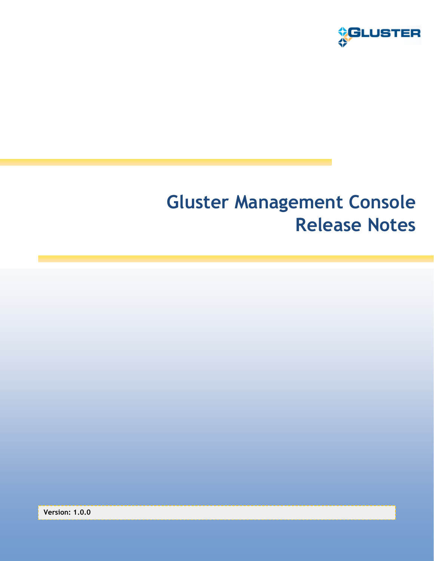

# **Gluster Management Console Release Notes**

**Version: 1.0.0**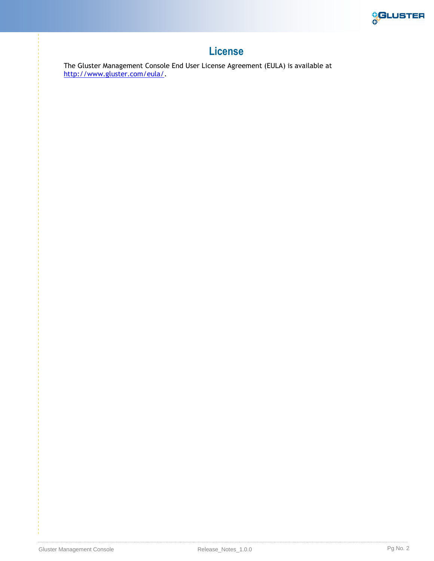

#### **License**

The Gluster Management Console End User License Agreement (EULA) is available at [http://www.gluster.com/eula/.](http://www.gluster.com/eula/)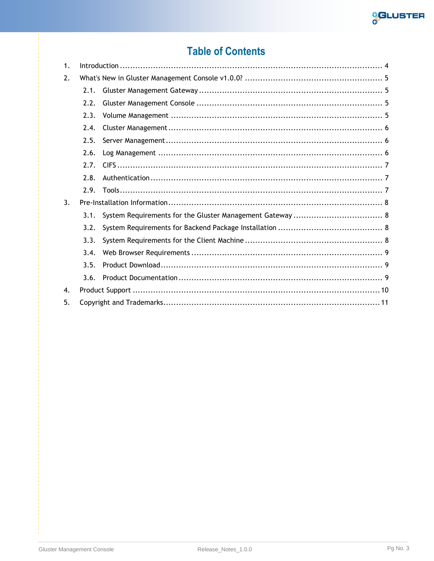

### **Table of Contents**

| 1. |      |  |  |
|----|------|--|--|
| 2. |      |  |  |
|    | 2.1. |  |  |
|    | 2.2. |  |  |
|    | 2.3. |  |  |
|    | 2.4. |  |  |
|    | 2.5. |  |  |
|    | 2.6. |  |  |
|    | 2.7. |  |  |
|    | 2.8. |  |  |
|    | 2.9. |  |  |
| 3. |      |  |  |
|    | 3.1. |  |  |
|    | 3.2. |  |  |
|    | 3.3. |  |  |
|    | 3.4. |  |  |
|    | 3.5. |  |  |
|    | 3.6. |  |  |
| 4. |      |  |  |
| 5. |      |  |  |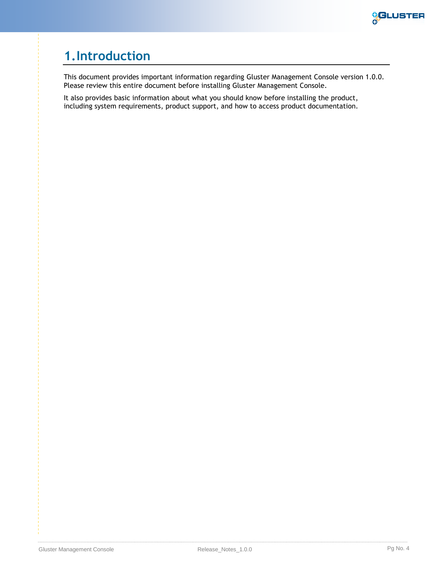

### <span id="page-3-0"></span>**1.Introduction**

This document provides important information regarding Gluster Management Console version 1.0.0. Please review this entire document before installing Gluster Management Console.

It also provides basic information about what you should know before installing the product, including system requirements, product support, and how to access product documentation.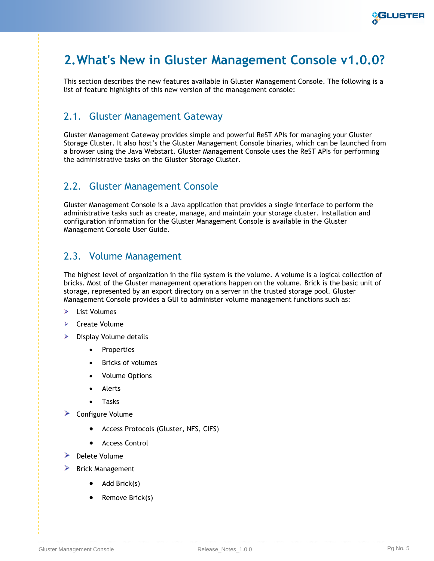

### <span id="page-4-0"></span>**2.What's New in Gluster Management Console v1.0.0?**

This section describes the new features available in Gluster Management Console. The following is a list of feature highlights of this new version of the management console:

#### <span id="page-4-1"></span>2.1. Gluster Management Gateway

Gluster Management Gateway provides simple and powerful ReST APIs for managing your Gluster Storage Cluster. It also host's the Gluster Management Console binaries, which can be launched from a browser using the Java Webstart. Gluster Management Console uses the ReST APIs for performing the administrative tasks on the Gluster Storage Cluster.

#### <span id="page-4-2"></span>2.2. Gluster Management Console

Gluster Management Console is a Java application that provides a single interface to perform the administrative tasks such as create, manage, and maintain your storage cluster. Installation and configuration information for the Gluster Management Console is available in the Gluster Management Console User Guide.

#### <span id="page-4-3"></span>2.3. Volume Management

The highest level of organization in the file system is the volume. A volume is a logical collection of bricks. Most of the Gluster management operations happen on the volume. Brick is the basic unit of storage, represented by an export directory on a server in the trusted storage pool. Gluster Management Console provides a GUI to administer volume management functions such as:

- $\blacktriangleright$ List Volumes
- $\triangleright$  Create Volume
- Display Volume details ⋗
	- Properties
	- Bricks of volumes
	- Volume Options
	- Alerts
	- Tasks
- $\triangleright$  Configure Volume
	- Access Protocols (Gluster, NFS, CIFS)
	- Access Control
- $\blacktriangleright$  Delete Volume
- $\blacktriangleright$  Brick Management
	- $\bullet$  Add Brick(s)
		- Remove Brick(s)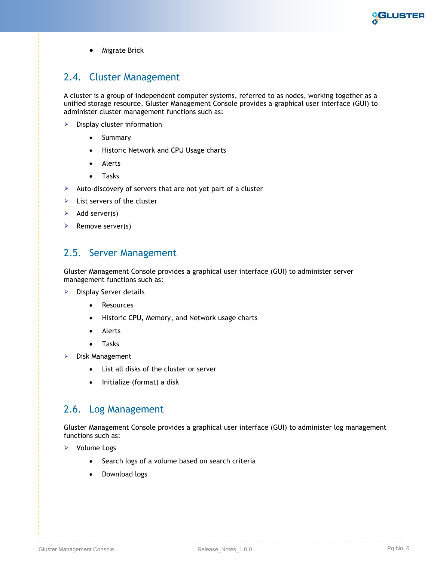

**•** Migrate Brick

#### <span id="page-5-0"></span>2.4. Cluster Management

A cluster is a group of independent computer systems, referred to as nodes, working together as a unified storage resource. Gluster Management Console provides a graphical user interface (GUI) to administer cluster management functions such as:

- $\triangleright$  Display cluster information
	- Summary
	- Historic Network and CPU Usage charts
	- Alerts
	- Tasks
- Auto-discovery of servers that are not yet part of a cluster
- $\triangleright$  List servers of the cluster
- $\triangleright$  Add server(s)
- <span id="page-5-1"></span> $\triangleright$  Remove server(s)

#### 2.5. Server Management

Gluster Management Console provides a graphical user interface (GUI) to administer server management functions such as:

- $\triangleright$  Display Server details
	- Resources
	- Historic CPU, Memory, and Network usage charts
	- Alerts
	- Tasks
- $\triangleright$  Disk Management
	- List all disks of the cluster or server
	- Initialize (format) a disk

#### <span id="page-5-2"></span>2.6. Log Management

Gluster Management Console provides a graphical user interface (GUI) to administer log management functions such as:

 $\triangleright$  Volume Logs

- Search logs of a volume based on search criteria
- Download logs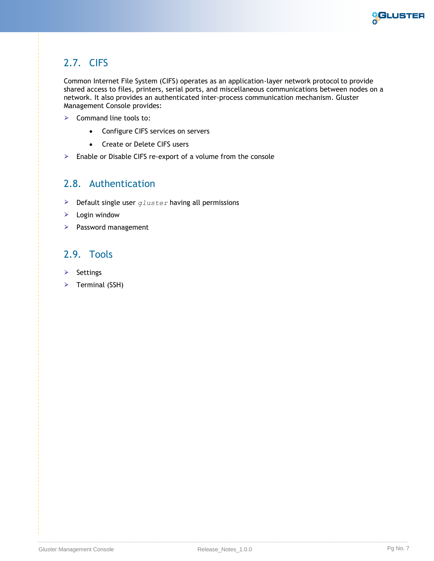

#### <span id="page-6-0"></span>2.7. CIFS

Common Internet File System (CIFS) operates as an application-layer network protocolto provide shared access to files, printers, serial ports, and miscellaneous communications between nodes on a network. It also provides an authenticated inter-process communication mechanism. Gluster Management Console provides:

- $\triangleright$  Command line tools to:
	- Configure CIFS services on servers
	- Create or Delete CIFS users
- > Enable or Disable CIFS re-export of a volume from the console

#### <span id="page-6-1"></span>2.8. Authentication

- Default single user *gluster* having all permissions
- $\triangleright$  Login window
- **Password management**

#### <span id="page-6-2"></span>2.9. Tools

- $\triangleright$  Settings
- $\triangleright$  Terminal (SSH)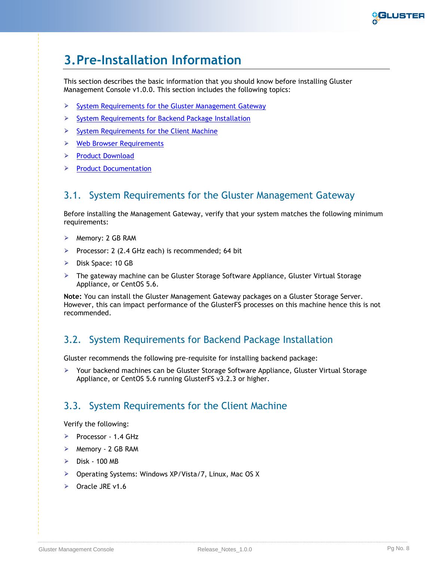

### <span id="page-7-0"></span>**3.Pre-Installation Information**

This section describes the basic information that you should know before installing Gluster Management Console v1.0.0. This section includes the following topics:

- $\triangleright$  [System Requirements for the Gluster Management Gateway](#page-7-1)
- [System Requirements for Backend Package Installation](#page-7-2)  $\blacktriangleright$
- [System Requirements for the Client Machine](#page-7-3)  $\blacktriangleright$
- [Web Browser Requirements](#page-7-4)
- > [Product Download](#page-8-1)
- $\triangleright$  [Product Documentation](#page-8-2)

#### <span id="page-7-1"></span>3.1. System Requirements for the Gluster Management Gateway

Before installing the Management Gateway, verify that your system matches the following minimum requirements:

- $\triangleright$  Memory: 2 GB RAM
- Processor: 2 (2.4 GHz each) is recommended; 64 bit
- $\triangleright$  Disk Space: 10 GB
- ▶ The gateway machine can be Gluster Storage Software Appliance, Gluster Virtual Storage Appliance, or CentOS 5.6.

**Note:** You can install the Gluster Management Gateway packages on a Gluster Storage Server. However, this can impact performance of the GlusterFS processes on this machine hence this is not recommended.

#### <span id="page-7-2"></span>3.2. System Requirements for Backend Package Installation

Gluster recommends the following pre-requisite for installing backend package:

Your backend machines can be Gluster Storage Software Appliance, Gluster Virtual Storage Appliance, or CentOS 5.6 running GlusterFS v3.2.3 or higher.

#### <span id="page-7-3"></span>3.3. System Requirements for the Client Machine

Verify the following:

- Processor 1.4 GHz
- $\triangleright$  Memory 2 GB RAM
- $\geq$  Disk 100 MB
- ▶ Operating Systems: Windows XP/Vista/7, Linux, Mac OS X
- <span id="page-7-4"></span> $\triangleright$  Oracle JRE v1.6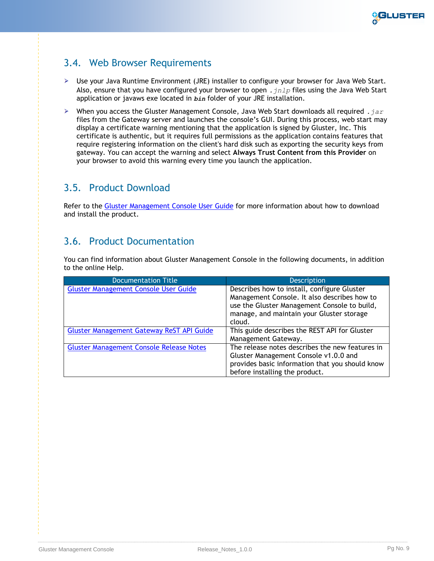

#### <span id="page-8-0"></span>3.4. Web Browser Requirements

- Use your Java Runtime Environment (JRE) installer to configure your browser for Java Web Start. Also, ensure that you have configured your browser to open *.jnlp* files using the Java Web Start application or javaws exe located in *bin* folder of your JRE installation.
- When you access the Gluster Management Console, Java Web Start downloads all required *.jar* files from the Gateway server and launches the console's GUI. During this process, web start may display a certificate warning mentioning that the application is signed by Gluster, Inc. This certificate is authentic, but it requires full permissions as the application contains features that require registering information on the client's hard disk such as exporting the security keys from gateway. You can accept the warning and select **Always Trust Content from this Provider** on your browser to avoid this warning every time you launch the application.

#### <span id="page-8-1"></span>3.5. Product Download

Refer to the [Gluster Management Console User Guide](http://download.gluster.com/pub/gluster/gluster-gmc/1.0.0/Gluster_Management_Console_User_Guide_1.0.0.pdf) for more information about how to download and install the product.

#### <span id="page-8-2"></span>3.6. Product Documentation

You can find information about Gluster Management Console in the following documents, in addition to the online Help.

| <b>Documentation Title</b>                       | <b>Description</b>                                                                                                                                                                                 |
|--------------------------------------------------|----------------------------------------------------------------------------------------------------------------------------------------------------------------------------------------------------|
| <b>Gluster Management Console User Guide</b>     | Describes how to install, configure Gluster<br>Management Console. It also describes how to<br>use the Gluster Management Console to build,<br>manage, and maintain your Gluster storage<br>cloud. |
| <b>Gluster Management Gateway ReST API Guide</b> | This guide describes the REST API for Gluster<br>Management Gateway.                                                                                                                               |
| <b>Gluster Management Console Release Notes</b>  | The release notes describes the new features in<br>Gluster Management Console v1.0.0 and<br>provides basic information that you should know<br>before installing the product.                      |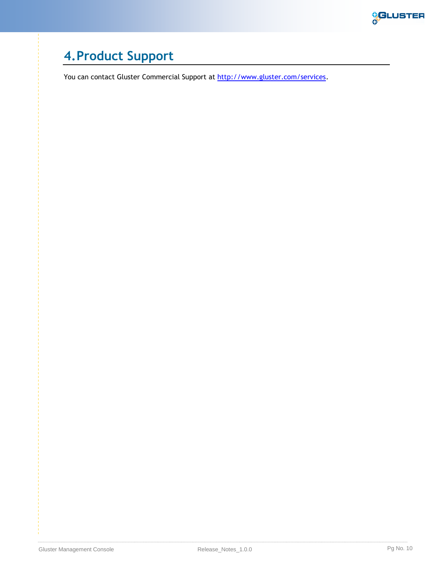

## <span id="page-9-0"></span>**4.Product Support**

You can contact Gluster Commercial Support at [http://www.gluster.com/services.](http://www.gluster.com/services)